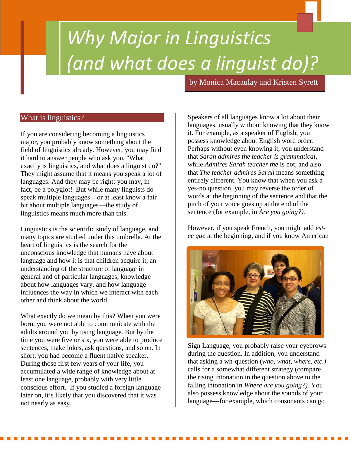# *Why Major in Linguistics (and what does a linguist do)?*

by Monica Macaulay and Kristen Syrett

11 May 20

## What is linguistics?

If you are considering becoming a linguistics major, you probably know something about the field of linguistics already. However, you may find it hard to answer people who ask you, "What exactly is linguistics, and what does a linguist do?" They might assume that it means you speak a lot of languages. And they may be right: you may, in fact, be a polyglot! But while many linguists do speak multiple languages—or at least know a fair bit about multiple languages—the study of linguistics means much more than this.

Linguistics is the scientific study of language, and many topics are studied under this umbrella. At the heart of linguistics is the search for the unconscious knowledge that humans have about language and how it is that children acquire it, an understanding of the structure of language in general and of particular languages, knowledge about how languages vary, and how language influences the way in which we interact with each other and think about the world.

What exactly do we mean by this? When you were born, you were not able to communicate with the adults around you by using language. But by the time you were five or six, you were able to produce sentences, make jokes, ask questions, and so on. In short, you had become a fluent native speaker. During those first few years of your life, you accumulated a wide range of knowledge about at least one language, probably with very little conscious effort. If you studied a foreign language later on, it's likely that you discovered that it was not nearly as easy.

Speakers of all languages know a lot about their languages, usually without knowing that they know it. For example, as a speaker of English, you possess knowledge about English word order. Perhaps without even knowing it, you understand that *Sarah admires the teacher is grammatical*, while *Admires Sarah teacher the* is not, and also that *The teacher admires Sarah* means something entirely different. You know that when you ask a yes-no question, you may reverse the order of words at the beginning of the sentence and that the pitch of your voice goes up at the end of the sentence (for example, in *Are you going?).*

However, if you speak French, you might add *est ce que* at the beginning, and if you know American



Sign Language, you probably raise your eyebrows during the question. In addition, you understand that asking a wh-question (*who, what, where, etc.)* calls for a somewhat different strategy (compare the rising intonation in the question above to the falling intonation in *Where are you going?).* You also possess knowledge about the sounds of your language—for example, which consonants can go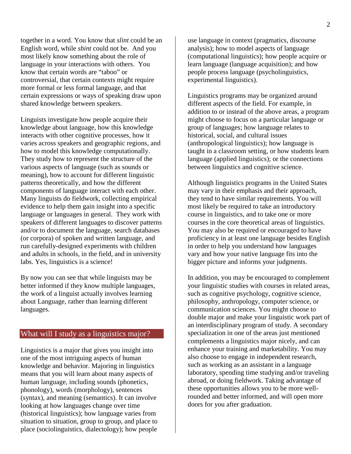together in a word. You know that *slint* could be an English word, while *sbint* could not be. And you most likely know something about the role of language in your interactions with others. You know that certain words are "taboo" or controversial, that certain contexts might require more formal or less formal language, and that certain expressions or ways of speaking draw upon shared knowledge between speakers.

Linguists investigate how people acquire their knowledge about language, how this knowledge interacts with other cognitive processes, how it varies across speakers and geographic regions, and how to model this knowledge computationally. They study how to represent the structure of the various aspects of language (such as sounds or meaning), how to account for different linguistic patterns theoretically, and how the different components of language interact with each other. Many linguists do fieldwork, collecting empirical evidence to help them gain insight into a specific language or languages in general. They work with speakers of different languages to discover patterns and/or to document the language, search databases (or corpora) of spoken and written language, and run carefully-designed experiments with children and adults in schools, in the field, and in university labs. Yes, linguistics is a science!

By now you can see that while linguists may be better informed if they know multiple languages, the work of a linguist actually involves learning about Language, rather than learning different languages.

### What will I study as a linguistics major?

Linguistics is a major that gives you insight into one of the most intriguing aspects of human knowledge and behavior. Majoring in linguistics means that you will learn about many aspects of human language, including sounds (phonetics, phonology), words (morphology), sentences (syntax), and meaning (semantics). It can involve looking at how languages change over time (historical linguistics); how language varies from situation to situation, group to group, and place to place (sociolinguistics, dialectology); how people use language in context (pragmatics, discourse analysis); how to model aspects of language (computational linguistics); how people acquire or learn language (language acquisition); and how people process language (psycholinguistics, experimental linguistics).

Linguistics programs may be organized around different aspects of the field. For example, in addition to or instead of the above areas, a program might choose to focus on a particular language or group of languages; how language relates to historical, social, and cultural issues (anthropological linguistics); how language is taught in a classroom setting, or how students learn language (applied linguistics); or the connections between linguistics and cognitive science.

Although linguistics programs in the United States may vary in their emphasis and their approach, they tend to have similar requirements. You will most likely be required to take an introductory course in linguistics, and to take one or more courses in the core theoretical areas of linguistics. You may also be required or encouraged to have proficiency in at least one language besides English in order to help you understand how languages vary and how your native language fits into the bigger picture and informs your judgments.

In addition, you may be encouraged to complement your linguistic studies with courses in related areas, such as cognitive psychology, cognitive science, philosophy, anthropology, computer science, or communication sciences. You might choose to double major and make your linguistic work part of an interdisciplinary program of study. A secondary specialization in one of the areas just mentioned complements a linguistics major nicely, and can enhance your training and marketability. You may also choose to engage in independent research, such as working as an assistant in a language laboratory, spending time studying and/or traveling abroad, or doing fieldwork. Taking advantage of these opportunities allows you to be more wellrounded and better informed, and will open more doors for you after graduation.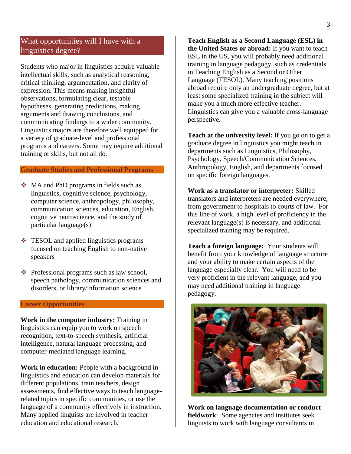## What opportunities will I have with a linguistics degree?

Students who major in linguistics acquire valuable intellectual skills, such as analytical reasoning, critical thinking, argumentation, and clarity of expression. This means making insightful observations, formulating clear, testable hypotheses, generating predictions, making arguments and drawing conclusions, and communicating findings to a wider community. Linguistics majors are therefore well equipped for a variety of graduate-level and professional programs and careers. Some may require additional training or skills, but not all do.

#### **Graduate Studies and Professional Programs**

- MA and PhD programs in fields such as linguistics, cognitive science, psychology, computer science, anthropology, philosophy, communication sciences, education, English, cognitive neuroscience, and the study of particular language(s)
- $\div$  TESOL and applied linguistics programs focused on teaching English to non-native speakers
- ❖ Professional programs such as law school, speech pathology, communication sciences and disorders, or library/information science

#### **Career Opportunities**

**Work in the computer industry:** Training in linguistics can equip you to work on speech recognition, text-to-speech synthesis, artificial intelligence, natural language processing, and computer-mediated language learning.

**Work in education:** People with a background in linguistics and education can develop materials for different populations, train teachers, design assessments, find effective ways to teach languagerelated topics in specific communities, or use the language of a community effectively in instruction. Many applied linguists are involved in teacher education and educational research.

**Teach English as a Second Language (ESL) in the United States or abroad:** If you want to teach ESL in the US, you will probably need additional training in language pedagogy, such as credentials in Teaching English as a Second or Other Language (TESOL). Many teaching positions abroad require only an undergraduate degree, but at least some specialized training in the subject will make you a much more effective teacher. Linguistics can give you a valuable cross-language perspective.

**Teach at the university level:** If you go on to get a graduate degree in linguistics you might teach in departments such as Linguistics, Philosophy, Psychology, Speech/Communication Sciences, Anthropology, English, and departments focused on specific foreign languages.

**Work as a translator or interpreter:** Skilled translators and interpreters are needed everywhere, from government to hospitals to courts of law. For this line of work, a high level of proficiency in the relevant language(s) is necessary, and additional specialized training may be required.

**Teach a foreign language:** Your students will benefit from your knowledge of language structure and your ability to make certain aspects of the language especially clear. You will need to be very proficient in the relevant language, and you may need additional training in language pedagogy.



**Work on language documentation or conduct fieldwork**: Some agencies and institutes seek linguists to work with language consultants in